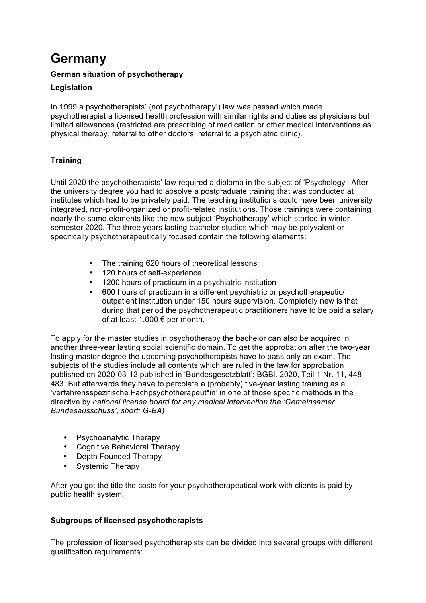# **Germany**

## **German situation of psychotherapy**

## **Legislation**

In 1999 a psychotherapists' (not psychotherapy!) law was passed which made psychotherapist a licensed health profession with similar rights and duties as physicians but limited allowances (restricted are prescribing of medication or other medical interventions as physical therapy, referral to other doctors, referral to a psychiatric clinic).

# **Training**

Until 2020 the psychotherapists' law required a diploma in the subject of 'Psychology'. After the university degree you had to absolve a postgraduate training that was conducted at institutes which had to be privately paid. The teaching institutions could have been university integrated, non-profit-organized or profit-related institutions. Those trainings were containing nearly the same elements like the new subject 'Psychotherapy' which started in winter semester 2020. The three years lasting bachelor studies which may be polyvalent or specifically psychotherapeutically focused contain the following elements:

- The training 620 hours of theoretical lessons
- 120 hours of self-experience
- 1200 hours of practicum in a psychiatric institution
- 600 hours of practicum in a different psychiatric or psychotherapeutic/ outpatient institution under 150 hours supervision. Completely new is that during that period the psychotherapeutic practitioners have to be paid a salary of at least 1.000  $\epsilon$  per month.

To apply for the master studies in psychotherapy the bachelor can also be acquired in another three-year lasting social scientific domain. To get the approbation after the two-year lasting master degree the upcoming psychotherapists have to pass only an exam. The subjects of the studies include all contents which are ruled in the law for approbation published on 2020-03-12 published in 'Bundesgesetzblatt': BGBl. 2020, Teil 1 Nr. 11, 448- 483. But afterwards they have to percolate a (probably) five-year lasting training as a 'verfahrensspezifische Fachpsychotherapeut\*in' in one of those specific methods in the directive by *national license board for any medical intervention the 'Gemeinsamer Bundesausschuss', short: G-BA)*

- Psychoanalytic Therapy
- Cognitive Behavioral Therapy
- Depth Founded Therapy
- Systemic Therapy

After you got the title the costs for your psychotherapeutical work with clients is paid by public health system*.*

#### **Subgroups of licensed psychotherapists**

The profession of licensed psychotherapists can be divided into several groups with different qualification requirements: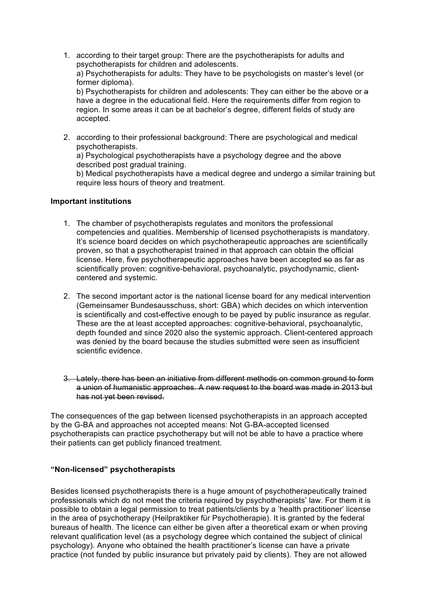- 1. according to their target group: There are the psychotherapists for adults and psychotherapists for children and adolescents. a) Psychotherapists for adults: They have to be psychologists on master's level (or former diploma). b) Psychotherapists for children and adolescents: They can either be the above or a have a degree in the educational field. Here the requirements differ from region to region. In some areas it can be at bachelor's degree, different fields of study are accepted.
- 2. according to their professional background: There are psychological and medical psychotherapists. a) Psychological psychotherapists have a psychology degree and the above described post gradual training. b) Medical psychotherapists have a medical degree and undergo a similar training but require less hours of theory and treatment.

#### **Important institutions**

- 1. The chamber of psychotherapists regulates and monitors the professional competencies and qualities. Membership of licensed psychotherapists is mandatory. It's science board decides on which psychotherapeutic approaches are scientifically proven, so that a psychotherapist trained in that approach can obtain the official license. Here, five psychotherapeutic approaches have been accepted so as far as scientifically proven: cognitive-behavioral, psychoanalytic, psychodynamic, clientcentered and systemic.
- 2. The second important actor is the national license board for any medical intervention (Gemeinsamer Bundesausschuss, short: GBA) which decides on which intervention is scientifically and cost-effective enough to be payed by public insurance as regular. These are the at least accepted approaches: cognitive-behavioral, psychoanalytic, depth founded and since 2020 also the systemic approach. Client-centered approach was denied by the board because the studies submitted were seen as insufficient scientific evidence.
- 3. Lately, there has been an initiative from different methods on common ground to form a union of humanistic approaches. A new request to the board was made in 2013 but has not yet been revised.

The consequences of the gap between licensed psychotherapists in an approach accepted by the G-BA and approaches not accepted means: Not G-BA-accepted licensed psychotherapists can practice psychotherapy but will not be able to have a practice where their patients can get publicly financed treatment.

#### **"Non-licensed" psychotherapists**

Besides licensed psychotherapists there is a huge amount of psychotherapeutically trained professionals which do not meet the criteria required by psychotherapists' law. For them it is possible to obtain a legal permission to treat patients/clients by a 'health practitioner' license in the area of psychotherapy (Heilpraktiker für Psychotherapie). It is granted by the federal bureaus of health. The licence can either be given after a theoretical exam or when proving relevant qualification level (as a psychology degree which contained the subject of clinical psychology). Anyone who obtained the health practitioner's license can have a private practice (not funded by public insurance but privately paid by clients). They are not allowed